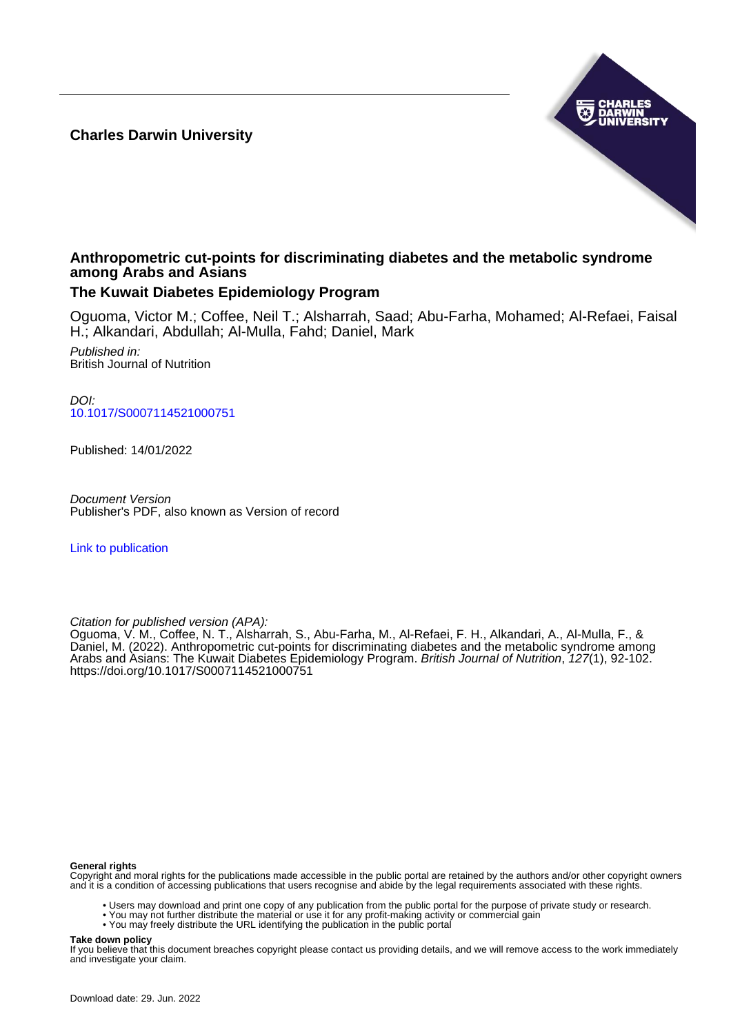**Charles Darwin University**



## **Anthropometric cut-points for discriminating diabetes and the metabolic syndrome among Arabs and Asians**

### **The Kuwait Diabetes Epidemiology Program**

Oguoma, Victor M.; Coffee, Neil T.; Alsharrah, Saad; Abu-Farha, Mohamed; Al-Refaei, Faisal H.; Alkandari, Abdullah; Al-Mulla, Fahd; Daniel, Mark

Published in: British Journal of Nutrition

DOI: [10.1017/S0007114521000751](https://doi.org/10.1017/S0007114521000751)

Published: 14/01/2022

Document Version Publisher's PDF, also known as Version of record

[Link to publication](https://researchers.cdu.edu.au/en/publications/65bf9830-d1c5-494a-a88d-430180e10385)

Citation for published version (APA):

Oguoma, V. M., Coffee, N. T., Alsharrah, S., Abu-Farha, M., Al-Refaei, F. H., Alkandari, A., Al-Mulla, F., & Daniel, M. (2022). Anthropometric cut-points for discriminating diabetes and the metabolic syndrome among Arabs and Asians: The Kuwait Diabetes Epidemiology Program. *British Journal of Nutrition, 127*(1), 92-102. <https://doi.org/10.1017/S0007114521000751>

#### **General rights**

Copyright and moral rights for the publications made accessible in the public portal are retained by the authors and/or other copyright owners and it is a condition of accessing publications that users recognise and abide by the legal requirements associated with these rights.

- Users may download and print one copy of any publication from the public portal for the purpose of private study or research.
- You may not further distribute the material or use it for any profit-making activity or commercial gain
- You may freely distribute the URL identifying the publication in the public portal

#### **Take down policy**

If you believe that this document breaches copyright please contact us providing details, and we will remove access to the work immediately and investigate your claim.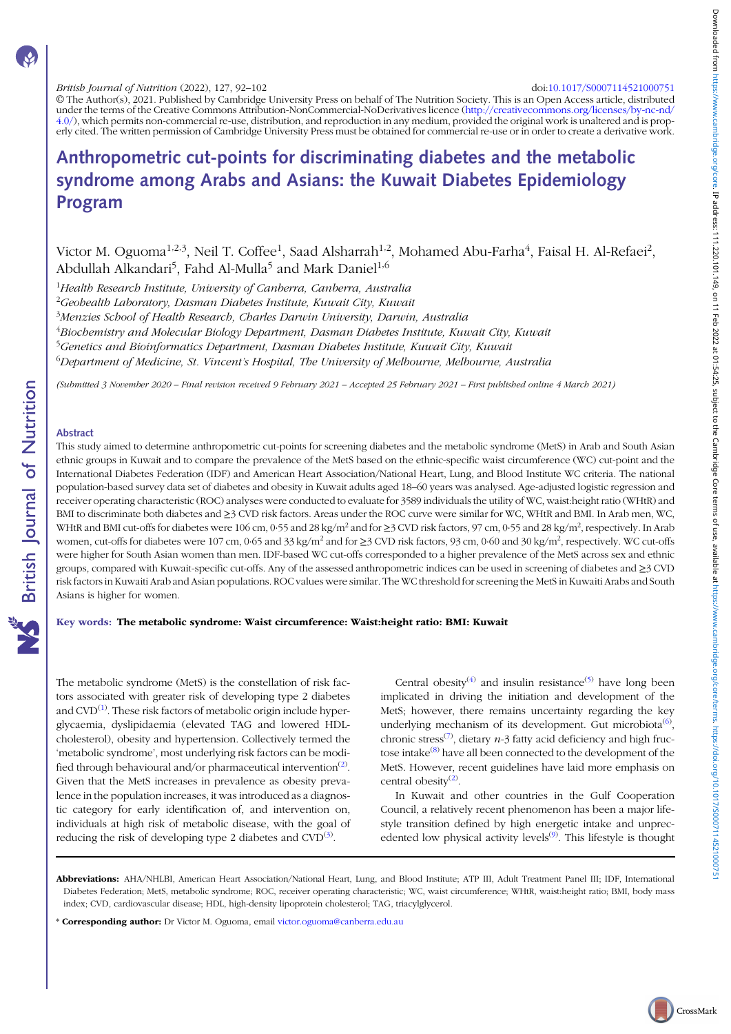British Journal of Nutrition (2022), 127, 92–102 doi:[10.1017/S0007114521000751](https://doi.org/10.1017/S0007114521000751)

© The Author(s), 2021. Published by Cambridge University Press on behalf of The Nutrition Society. This is an Open Access article, distributed under the terms of the Creative Commons Attribution-NonCommercial-NoDerivatives licence [\(http://creativecommons.org/licenses/by-nc-nd/](http://creativecommons.org/licenses/by-nc-nd/4.0/) [4.0/\)](http://creativecommons.org/licenses/by-nc-nd/4.0/), which permits non-commercial re-use, distribution, and reproduction in any medium, provided the original work is unaltered and is properly cited. The written permission of Cambridge University Press must be obtained for commercial re-use or in order to create a derivative work.

# Anthropometric cut-points for discriminating diabetes and the metabolic syndrome among Arabs and Asians: the Kuwait Diabetes Epidemiology Program

Victor M. Oguoma<sup>1,2,3</sup>, Neil T. Coffee<sup>1</sup>, Saad Alsharrah<sup>1,2</sup>, Mohamed Abu-Farha<sup>4</sup>, Faisal H. Al-Refaei<sup>2</sup>, Abdullah Alkandari<sup>5</sup>, Fahd Al-Mulla<sup>5</sup> and Mark Daniel<sup>1,6</sup>

 $^{1}$ Health Research Institute, University of Canberra, Canberra, Australia  $^{2}$ Geohealth Laboratory, Dasman Diabetes Institute, Kuwait City, Kuwait <sup>3</sup>Menzies School of Health Research, Charles Darwin University, Darwin, Australia  $^4$ Biochemistry and Molecular Biology Department, Dasman Diabetes Institute, Kuwait City, Kuwait <sup>5</sup>Genetics and Bioinformatics Department, Dasman Diabetes Institute, Kuwait City, Kuwait  $^6$ Department of Medicine, St. Vincent's Hospital, The University of Melbourne, Melbourne, Australia

(Submitted 3 November 2020 – Final revision received 9 February 2021 – Accepted 25 February 2021 – First published online 4 March 2021)

#### Abstract

**NS** British Journal of Nutrition

This study aimed to determine anthropometric cut-points for screening diabetes and the metabolic syndrome (MetS) in Arab and South Asian ethnic groups in Kuwait and to compare the prevalence of the MetS based on the ethnic-specific waist circumference (WC) cut-point and the International Diabetes Federation (IDF) and American Heart Association/National Heart, Lung, and Blood Institute WC criteria. The national population-based survey data set of diabetes and obesity in Kuwait adults aged 18–60 years was analysed. Age-adjusted logistic regression and receiver operating characteristic (ROC) analyses were conducted to evaluate for 3589 individuals the utility of WC, waist:height ratio (WHtR) and BMI to discriminate both diabetes and ≥3 CVD risk factors. Areas under the ROC curve were similar for WC, WHtR and BMI. In Arab men, WC, WHtR and BMI cut-offs for diabetes were 106 cm, 0.55 and 28 kg/m<sup>2</sup> and for  $\geq$ 3 CVD risk factors, 97 cm, 0.55 and 28 kg/m<sup>2</sup>, respectively. In Arab women, cut-offs for diabetes were 107 cm, 0·65 and 33 kg/m<sup>2</sup> and for ≥3 CVD risk factors, 93 cm, 0·60 and 30 kg/m<sup>2</sup>, respectively. WC cut-offs were higher for South Asian women than men. IDF-based WC cut-offs corresponded to a higher prevalence of the MetS across sex and ethnic groups, compared with Kuwait-specific cut-offs. Any of the assessed anthropometric indices can be used in screening of diabetes and ≥3 CVD risk factors in Kuwaiti Arab and Asian populations. ROC values were similar. The WC threshold for screening the MetS in Kuwaiti Arabs and South Asians is higher for women.

#### Key words: The metabolic syndrome: Waist circumference: Waist:height ratio: BMI: Kuwait

The metabolic syndrome (MetS) is the constellation of risk factors associated with greater risk of developing type 2 diabetes and CVD<sup>([1](#page-10-0))</sup>. These risk factors of metabolic origin include hyperglycaemia, dyslipidaemia (elevated TAG and lowered HDLcholesterol), obesity and hypertension. Collectively termed the 'metabolic syndrome', most underlying risk factors can be modi-fied through behavioural and/or pharmaceutical intervention<sup>([2\)](#page-10-0)</sup>. Given that the MetS increases in prevalence as obesity prevalence in the population increases, it was introduced as a diagnostic category for early identification of, and intervention on, individuals at high risk of metabolic disease, with the goal of reducing the risk of developing type 2 diabetes and  $CVD^{(3)}$  $CVD^{(3)}$  $CVD^{(3)}$ .

Central obesity<sup>[\(4\)](#page-10-0)</sup> and insulin resistance<sup>[\(5\)](#page-10-0)</sup> have long been implicated in driving the initiation and development of the MetS; however, there remains uncertainty regarding the key underlying mechanism of its development. Gut microbiota<sup>([6](#page-10-0))</sup>, chronic stress<sup>([7\)](#page-10-0)</sup>, dietary *n*-3 fatty acid deficiency and high fructose intake([8\)](#page-10-0) have all been connected to the development of the MetS. However, recent guidelines have laid more emphasis on central obesity<sup>([2\)](#page-10-0)</sup>.

In Kuwait and other countries in the Gulf Cooperation Council, a relatively recent phenomenon has been a major lifestyle transition defined by high energetic intake and unprec-edented low physical activity levels<sup>[\(9](#page-10-0))</sup>. This lifestyle is thought

\* Corresponding author: Dr Victor M. Oguoma, email [victor.oguoma@canberra.edu.au](mailto:victor.oguoma@canberra.edu.au)

Abbreviations: AHA/NHLBI, American Heart Association/National Heart, Lung, and Blood Institute; ATP III, Adult Treatment Panel III; IDF, International Diabetes Federation; MetS, metabolic syndrome; ROC, receiver operating characteristic; WC, waist circumference; WHtR, waist:height ratio; BMI, body mass index; CVD, cardiovascular disease; HDL, high-density lipoprotein cholesterol; TAG, triacylglycerol.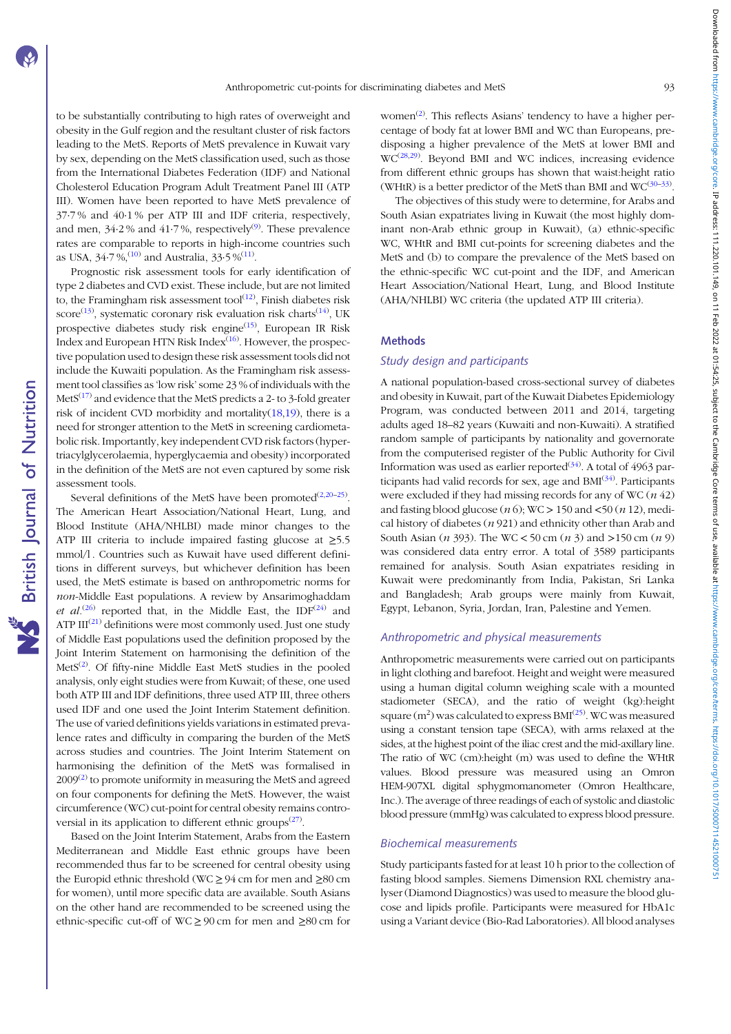Downloaded from https://www.cambridge.org/core. IP address: 111.220.101.149, on 11 Feb 2022 at 01:54:25, subject to the Cambridge Core terms of use, available at https://www.cambridge.core terms of use, available at https: Downloaded from https://www.cambridge.org.i.Pa.2011.2010.1.149. on 11 Feb 2022 at 01:34:25, subject on the Core terms of use, available at https://www.cambridge.org/core/terms.in/200071145210007511452100075

to be substantially contributing to high rates of overweight and obesity in the Gulf region and the resultant cluster of risk factors leading to the MetS. Reports of MetS prevalence in Kuwait vary by sex, depending on the MetS classification used, such as those from the International Diabetes Federation (IDF) and National Cholesterol Education Program Adult Treatment Panel III (ATP III). Women have been reported to have MetS prevalence of 37·7 % and 40·1 % per ATP III and IDF criteria, respectively, and men,  $34.2\%$  and  $41.7\%$ , respectively<sup>([9](#page-10-0))</sup>. These prevalence rates are comparable to reports in high-income countries such as USA,  $34.7\,\%$ ,  $(10)$  and Australia,  $33.5\,\%$   $(11)$  $(11)$ .

Prognostic risk assessment tools for early identification of type 2 diabetes and CVD exist. These include, but are not limited to, the Framingham risk assessment tool $^{(12)}$  $^{(12)}$  $^{(12)}$ , Finish diabetes risk score<sup>[\(13](#page-10-0))</sup>, systematic coronary risk evaluation risk charts<sup>([14\)](#page-10-0)</sup>, UK prospective diabetes study risk engine<sup>([15](#page-10-0))</sup>, European IR Risk Index and European HTN Risk Index<sup>[\(16\)](#page-10-0)</sup>. However, the prospective population used to design these risk assessment tools did not include the Kuwaiti population. As the Framingham risk assessment tool classifies as'low risk'some 23 % of individuals with the Met $S^{(17)}$  $S^{(17)}$  $S^{(17)}$  and evidence that the MetS predicts a 2- to 3-fold greater risk of incident CVD morbidity and mortality $(18,19)$  $(18,19)$  $(18,19)$ , there is a need for stronger attention to the MetS in screening cardiometabolic risk. Importantly, key independent CVD risk factors (hypertriacylglycerolaemia, hyperglycaemia and obesity) incorporated in the definition of the MetS are not even captured by some risk assessment tools.

Several definitions of the MetS have been promoted<sup>[\(2,20](#page-10-0)–[25\)](#page-10-0)</sup>. The American Heart Association/National Heart, Lung, and Blood Institute (AHA/NHLBI) made minor changes to the ATP III criteria to include impaired fasting glucose at  $\geq 5.5$ mmol/l . Countries such as Kuwait have used different definitions in different surveys, but whichever definition has been used, the MetS estimate is based on anthropometric norms for non-Middle East populations. A review by Ansarimoghaddam et al.<sup>[\(26\)](#page-10-0)</sup> reported that, in the Middle East, the IDF<sup>[\(24\)](#page-10-0)</sup> and ATP  $III^{(21)}$  $III^{(21)}$  $III^{(21)}$  definitions were most commonly used. Just one study of Middle East populations used the definition proposed by the Joint Interim Statement on harmonising the definition of the MetS<sup>[\(2](#page-10-0))</sup>. Of fifty-nine Middle East MetS studies in the pooled analysis, only eight studies were from Kuwait; of these, one used both ATP III and IDF definitions, three used ATP III, three others used IDF and one used the Joint Interim Statement definition. The use of varied definitions yields variations in estimated prevalence rates and difficulty in comparing the burden of the MetS across studies and countries. The Joint Interim Statement on harmonising the definition of the MetS was formalised in  $2009<sup>(2)</sup>$  $2009<sup>(2)</sup>$  to promote uniformity in measuring the MetS and agreed on four components for defining the MetS. However, the waist circumference (WC) cut-point for central obesity remains contro-versial in its application to different ethnic groups<sup>([27\)](#page-10-0)</sup>.

Based on the Joint Interim Statement, Arabs from the Eastern Mediterranean and Middle East ethnic groups have been recommended thus far to be screened for central obesity using the Europid ethnic threshold (WC  $\geq$  94 cm for men and  $\geq$ 80 cm for women), until more specific data are available. South Asians on the other hand are recommended to be screened using the ethnic-specific cut-off of WC ≥ 90 cm for men and ≥80 cm for

women<sup>([2](#page-10-0))</sup>. This reflects Asians' tendency to have a higher percentage of body fat at lower BMI and WC than Europeans, predisposing a higher prevalence of the MetS at lower BMI and WC<sup>[\(28](#page-10-0),[29](#page-11-0))</sup>. Beyond BMI and WC indices, increasing evidence from different ethnic groups has shown that waist:height ratio (WHtR) is a better predictor of the MetS than BMI and  $WC^{(30-33)}$  $WC^{(30-33)}$  $WC^{(30-33)}$  $WC^{(30-33)}$  $WC^{(30-33)}$ .

The objectives of this study were to determine, for Arabs and South Asian expatriates living in Kuwait (the most highly dominant non-Arab ethnic group in Kuwait), (a) ethnic-specific WC, WHtR and BMI cut-points for screening diabetes and the MetS and (b) to compare the prevalence of the MetS based on the ethnic-specific WC cut-point and the IDF, and American Heart Association/National Heart, Lung, and Blood Institute (AHA/NHLBI) WC criteria (the updated ATP III criteria).

#### **Methods**

#### Study design and participants

A national population-based cross-sectional survey of diabetes and obesity in Kuwait, part of the Kuwait Diabetes Epidemiology Program, was conducted between 2011 and 2014, targeting adults aged 18–82 years (Kuwaiti and non-Kuwaiti). A stratified random sample of participants by nationality and governorate from the computerised register of the Public Authority for Civil Information was used as earlier reported $(34)$  $(34)$  $(34)$ . A total of 4963 par-ticipants had valid records for sex, age and BMI<sup>([34\)](#page-11-0)</sup>. Participants were excluded if they had missing records for any of WC  $(n\ 42)$ and fasting blood glucose  $(n 6)$ ; WC  $> 150$  and  $<50$   $(n 12)$ , medical history of diabetes  $(n 921)$  and ethnicity other than Arab and South Asian  $(n 393)$ . The WC < 50 cm  $(n 3)$  and >150 cm  $(n 9)$ was considered data entry error. A total of 3589 participants remained for analysis. South Asian expatriates residing in Kuwait were predominantly from India, Pakistan, Sri Lanka and Bangladesh; Arab groups were mainly from Kuwait, Egypt, Lebanon, Syria, Jordan, Iran, Palestine and Yemen.

#### Anthropometric and physical measurements

Anthropometric measurements were carried out on participants in light clothing and barefoot. Height and weight were measured using a human digital column weighing scale with a mounted stadiometer (SECA), and the ratio of weight (kg):height square  $(m^2)$  was calculated to express  $BMI^{(25)}$  $BMI^{(25)}$  $BMI^{(25)}$ . WC was measured using a constant tension tape (SECA), with arms relaxed at the sides, at the highest point of the iliac crest and the mid-axillary line. The ratio of WC (cm):height (m) was used to define the WHtR values. Blood pressure was measured using an Omron HEM-907XL digital sphygmomanometer (Omron Healthcare, Inc.). The average of three readings of each of systolic and diastolic blood pressure (mmHg) was calculated to express blood pressure.

#### Biochemical measurements

Study participants fasted for at least 10 h prior to the collection of fasting blood samples. Siemens Dimension RXL chemistry analyser (Diamond Diagnostics) was used to measure the blood glucose and lipids profile. Participants were measured for HbA1c using a Variant device (Bio-Rad Laboratories). All blood analyses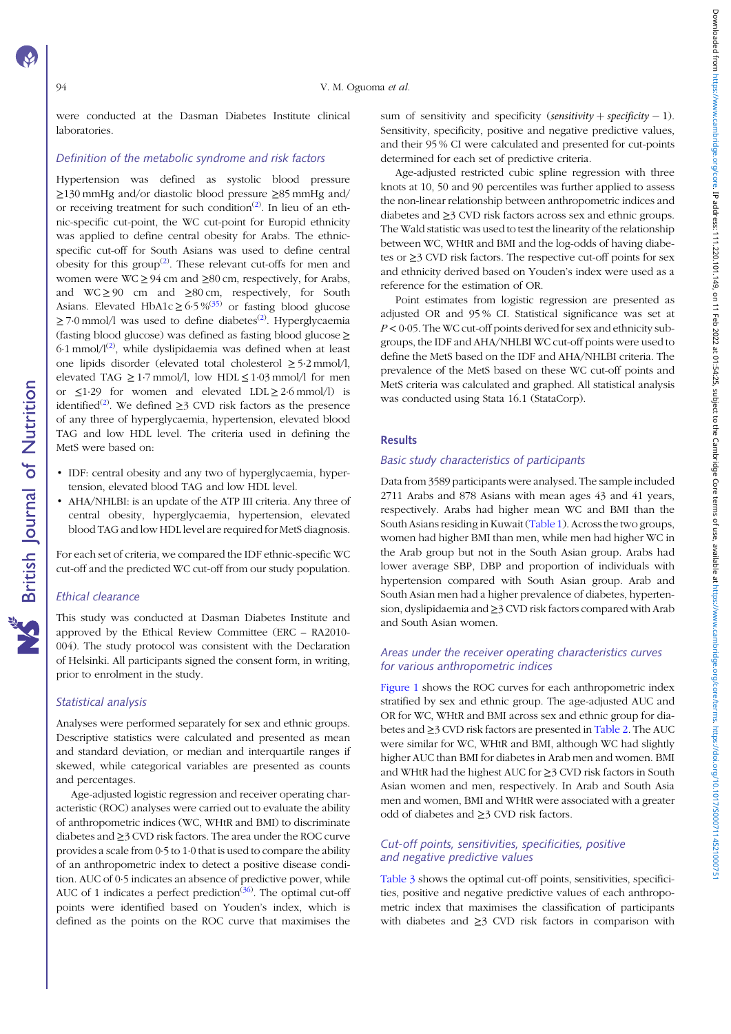were conducted at the Dasman Diabetes Institute clinical laboratories.

#### Definition of the metabolic syndrome and risk factors

Hypertension was defined as systolic blood pressure ≥130 mmHg and/or diastolic blood pressure ≥85 mmHg and/ or receiving treatment for such condition<sup>[\(2\)](#page-10-0)</sup>. In lieu of an ethnic-specific cut-point, the WC cut-point for Europid ethnicity was applied to define central obesity for Arabs. The ethnicspecific cut-off for South Asians was used to define central obesity for this group<sup>([2\)](#page-10-0)</sup>. These relevant cut-offs for men and women were  $WC \ge 94$  cm and  $\ge 80$  cm, respectively, for Arabs, and  $WC \ge 90$  cm and  $\ge 80$  cm, respectively, for South Asians. Elevated HbA1c  $\geq 6.5\%^{(35)}$  $\geq 6.5\%^{(35)}$  $\geq 6.5\%^{(35)}$  or fasting blood glucose  $\geq$  7·0 mmol/l was used to define diabetes<sup>([2\)](#page-10-0)</sup>. Hyperglycaemia (fasting blood glucose) was defined as fasting blood glucose ≥ 6.1 mmol/ $1^{(2)}$  $1^{(2)}$  $1^{(2)}$ , while dyslipidaemia was defined when at least one lipids disorder (elevated total cholesterol  $\geq$  5·2 mmol/l, elevated TAG  $\geq$  1.7 mmol/l, low HDL  $\leq$  1.03 mmol/l for men or  $\leq$ 1.29 for women and elevated LDL  $\geq$  2.6 mmol/l) is identified<sup>([2\)](#page-10-0)</sup>. We defined  $\geq$ 3 CVD risk factors as the presence of any three of hyperglycaemia, hypertension, elevated blood TAG and low HDL level. The criteria used in defining the MetS were based on:

- IDF: central obesity and any two of hyperglycaemia, hypertension, elevated blood TAG and low HDL level.
- AHA/NHLBI: is an update of the ATP III criteria. Any three of central obesity, hyperglycaemia, hypertension, elevated blood TAG and low HDL level are required for MetS diagnosis.

For each set of criteria, we compared the IDF ethnic-specific WC cut-off and the predicted WC cut-off from our study population.

#### Ethical clearance

**S** British Journal of Nutrition

This study was conducted at Dasman Diabetes Institute and approved by the Ethical Review Committee (ERC – RA2010- 004). The study protocol was consistent with the Declaration of Helsinki. All participants signed the consent form, in writing, prior to enrolment in the study.

#### Statistical analysis

Analyses were performed separately for sex and ethnic groups. Descriptive statistics were calculated and presented as mean and standard deviation, or median and interquartile ranges if skewed, while categorical variables are presented as counts and percentages.

Age-adjusted logistic regression and receiver operating characteristic (ROC) analyses were carried out to evaluate the ability of anthropometric indices (WC, WHtR and BMI) to discriminate diabetes and ≥3 CVD risk factors. The area under the ROC curve provides a scale from 0·5 to 1·0 that is used to compare the ability of an anthropometric index to detect a positive disease condition. AUC of 0·5 indicates an absence of predictive power, while AUC of 1 indicates a perfect prediction<sup>([36](#page-11-0))</sup>. The optimal cut-off points were identified based on Youden's index, which is defined as the points on the ROC curve that maximises the

sum of sensitivity and specificity (sensitivity  $+$  specificity  $-1$ ). Sensitivity, specificity, positive and negative predictive values, and their 95 % CI were calculated and presented for cut-points determined for each set of predictive criteria.

Age-adjusted restricted cubic spline regression with three knots at 10, 50 and 90 percentiles was further applied to assess the non-linear relationship between anthropometric indices and diabetes and ≥3 CVD risk factors across sex and ethnic groups. The Wald statistic was used to test the linearity of the relationship between WC, WHtR and BMI and the log-odds of having diabetes or ≥3 CVD risk factors. The respective cut-off points for sex and ethnicity derived based on Youden's index were used as a reference for the estimation of OR.

Point estimates from logistic regression are presented as adjusted OR and 95 % CI. Statistical significance was set at  $P < 0.05$ . The WC cut-off points derived for sex and ethnicity subgroups, the IDF and AHA/NHLBI WC cut-off points were used to define the MetS based on the IDF and AHA/NHLBI criteria. The prevalence of the MetS based on these WC cut-off points and MetS criteria was calculated and graphed. All statistical analysis was conducted using Stata 16.1 (StataCorp).

#### Results

#### Basic study characteristics of participants

Data from 3589 participants were analysed. The sample included 2711 Arabs and 878 Asians with mean ages 43 and 41 years, respectively. Arabs had higher mean WC and BMI than the South Asians residing in Kuwait [\(Table 1](#page-4-0)). Across the two groups, women had higher BMI than men, while men had higher WC in the Arab group but not in the South Asian group. Arabs had lower average SBP, DBP and proportion of individuals with hypertension compared with South Asian group. Arab and South Asian men had a higher prevalence of diabetes, hypertension, dyslipidaemia and ≥3 CVD risk factors compared with Arab and South Asian women.

#### Areas under the receiver operating characteristics curves for various anthropometric indices

[Figure 1](#page-5-0) shows the ROC curves for each anthropometric index stratified by sex and ethnic group. The age-adjusted AUC and OR for WC, WHtR and BMI across sex and ethnic group for diabetes and ≥3 CVD risk factors are presented in [Table 2.](#page-6-0) The AUC were similar for WC, WHtR and BMI, although WC had slightly higher AUC than BMI for diabetes in Arab men and women. BMI and WHtR had the highest AUC for ≥3 CVD risk factors in South Asian women and men, respectively. In Arab and South Asia men and women, BMI and WHtR were associated with a greater odd of diabetes and ≥3 CVD risk factors.

#### Cut-off points, sensitivities, specificities, positive and negative predictive values

[Table 3](#page-6-0) shows the optimal cut-off points, sensitivities, specificities, positive and negative predictive values of each anthropometric index that maximises the classification of participants with diabetes and ≥3 CVD risk factors in comparison with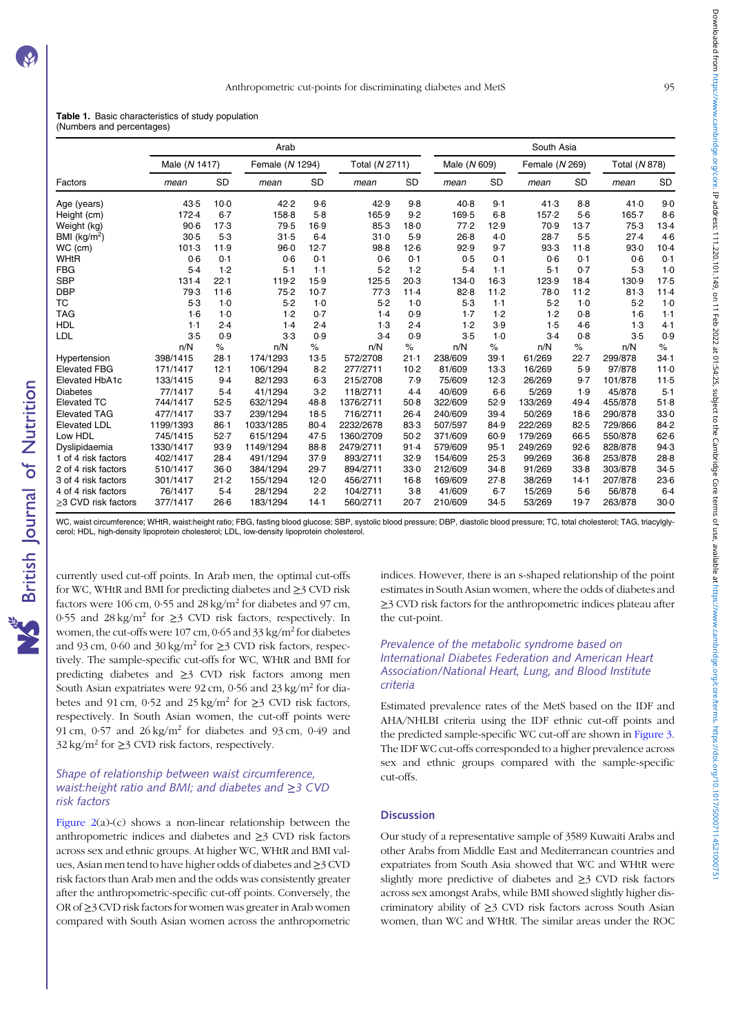<span id="page-4-0"></span>

|  | <b>Table 1.</b> Basic characteristics of study population |  |  |
|--|-----------------------------------------------------------|--|--|
|  | (Numbers and percentages)                                 |  |  |

|                           |               |           | Arab            |           |                |        |              |           | South Asia     |           |               |                 |
|---------------------------|---------------|-----------|-----------------|-----------|----------------|--------|--------------|-----------|----------------|-----------|---------------|-----------------|
|                           | Male (N 1417) |           | Female (N 1294) |           | Total (N 2711) |        | Male (N 609) |           | Female (N 269) |           | Total (N 878) |                 |
| Factors                   | mean          | <b>SD</b> | mean            | <b>SD</b> | mean           | SD     | mean         | <b>SD</b> | mean           | <b>SD</b> | mean          | <b>SD</b>       |
| Age (years)               | 43.5          | $10-0$    | 42.2            | $9-6$     | 42.9           | 9.8    | 40.8         | 9.1       | 41.3           | $8-8$     | 41.0          | 9 <sub>0</sub>  |
| Height (cm)               | 172.4         | $6 - 7$   | 158-8           | 5.8       | 165.9          | 9.2    | 169.5        | $6-8$     | 157.2          | $5-6$     | $165 - 7$     | 8·6             |
| Weight (kg)               | 90.6          | 17.3      | 79.5            | 16.9      | 85.3           | 18.0   | 77.2         | 12.9      | 70.9           | 13.7      | 75.3          | $13-4$          |
| BMI (kg/m <sup>2</sup> )  | 30.5          | 5.3       | 31.5            | $6-4$     | 31.0           | 5.9    | 26.8         | $4-0$     | 28.7           | 5.5       | 27.4          | 4.6             |
| WC (cm)                   | 101.3         | 11.9      | 96.0            | 12.7      | 98.8           | 12.6   | 92.9         | 9.7       | 93.3           | 11.8      | 93.0          | $10-4$          |
| WHtR                      | 0.6           | 0.1       | 0.6             | 0.1       | 0.6            | 0.1    | 0.5          | 0.1       | 0.6            | 0.1       | 0.6           | 0.1             |
| <b>FBG</b>                | 5.4           | 1.2       | $5-1$           | $1-1$     | 5.2            | 1.2    | $5-4$        | $1-1$     | $5-1$          | 0.7       | 5.3           | 1·C             |
| <b>SBP</b>                | 131.4         | 22.1      | 119-2           | 15.9      | 125.5          | 20.3   | 134.0        | $16-3$    | 123.9          | $18-4$    | 130.9         | $17 - 5$        |
| <b>DBP</b>                | 79.3          | 11.6      | 75.2            | $10-7$    | 77.3           | 11.4   | 82.8         | $11-2$    | 78.0           | $11-2$    | 81.3          | $11-4$          |
| <b>TC</b>                 | $5-3$         | 1.0       | 5.2             | $1-0$     | 5.2            | $1-0$  | $5-3$        | $1-1$     | 5.2            | $1-0$     | 5.2           | 1·C             |
| <b>TAG</b>                | $1-6$         | $1-0$     | 1.2             | 0.7       | 1.4            | 0.9    | 1.7          | 1.2       | 1.2            | 0.8       | $1-6$         | $1 - 1$         |
| <b>HDL</b>                | 1.1           | 2.4       | 1.4             | 2.4       | 1.3            | 2.4    | 1.2          | 3.9       | 1.5            | 4.6       | 1.3           | 4.1             |
| LDL                       | 3.5           | 0.9       | $3-3$           | 0.9       | 3.4            | 0.9    | 3.5          | $1-0$     | $3-4$          | 0.8       | 3.5           | O.S             |
|                           | n/N           | $\%$      | n/N             | $\%$      | n/N            | $\%$   | n/N          | $\%$      | n/N            | $\%$      | n/N           | $\%$            |
| Hypertension              | 398/1415      | 28.1      | 174/1293        | $13-5$    | 572/2708       | 21.1   | 238/609      | 39.1      | 61/269         | 22.7      | 299/878       | 34.1            |
| <b>Elevated FBG</b>       | 171/1417      | 12.1      | 106/1294        | 8.2       | 277/2711       | 10.2   | 81/609       | 13.3      | 16/269         | 5.9       | 97/878        | 11 <sub>c</sub> |
| Elevated HbA1c            | 133/1415      | 9.4       | 82/1293         | $6-3$     | 215/2708       | 7.9    | 75/609       | 12.3      | 26/269         | 9.7       | 101/878       | 11.5            |
| <b>Diabetes</b>           | 77/1417       | $5-4$     | 41/1294         | $3-2$     | 118/2711       | 4.4    | 40/609       | $6-6$     | 5/269          | 1.9       | 45/878        | $5-1$           |
| <b>Elevated TC</b>        | 744/1417      | 52.5      | 632/1294        | 48.8      | 1376/2711      | 50.8   | 322/609      | 52.9      | 133/269        | 49.4      | 455/878       | 51.8            |
| <b>Elevated TAG</b>       | 477/1417      | 33.7      | 239/1294        | $18-5$    | 716/2711       | $26-4$ | 240/609      | 39.4      | 50/269         | $18-6$    | 290/878       | 33 <sub>0</sub> |
| <b>Elevated LDL</b>       | 1199/1393     | $86 - 1$  | 1033/1285       | 80.4      | 2232/2678      | 83.3   | 507/597      | 84.9      | 222/269        | 82.5      | 729/866       | 84.2            |
| Low HDL                   | 745/1415      | 52.7      | 615/1294        | 47.5      | 1360/2709      | $50-2$ | 371/609      | 60.9      | 179/269        | 66.5      | 550/878       | $62 - 6$        |
| Dyslipidaemia             | 1330/1417     | 93.9      | 1149/1294       | 88.8      | 2479/2711      | 91.4   | 579/609      | 95.1      | 249/269        | 92.6      | 828/878       | 94.3            |
| 1 of 4 risk factors       | 402/1417      | 28.4      | 491/1294        | 37.9      | 893/2711       | 32.9   | 154/609      | 25.3      | 99/269         | 36.8      | 253/878       | $28 - 8$        |
| 2 of 4 risk factors       | 510/1417      | $36-0$    | 384/1294        | 29.7      | 894/2711       | 33.0   | 212/609      | 34.8      | 91/269         | 33.8      | 303/878       | $34 - 5$        |
| 3 of 4 risk factors       | 301/1417      | 21.2      | 155/1294        | 12.0      | 456/2711       | $16-8$ | 169/609      | 27.8      | 38/269         | 14.1      | 207/878       | $23 - 6$        |
| 4 of 4 risk factors       | 76/1417       | $5-4$     | 28/1294         | 2.2       | 104/2711       | $3-8$  | 41/609       | $6 - 7$   | 15/269         | $5-6$     | 56/878        | $6-4$           |
| $\geq$ 3 CVD risk factors | 377/1417      | 26.6      | 183/1294        | 14.1      | 560/2711       | $20-7$ | 210/609      | 34.5      | 53/269         | 19.7      | 263/878       | $30 - C$        |

WC, waist circumference; WHtR, waist:height ratio; FBG, fasting blood glucose; SBP, systolic blood pressure; DBP, diastolic blood pressure; TC, total cholesterol; TAG, triacylglycerol; HDL, high-density lipoprotein cholesterol; LDL, low-density lipoprotein cholesterol.

currently used cut-off points. In Arab men, the optimal cut-offs for WC, WHtR and BMI for predicting diabetes and ≥3 CVD risk factors were 106 cm, 0.55 and 28 kg/m<sup>2</sup> for diabetes and 97 cm, 0.55 and  $28 \text{ kg/m}^2$  for  $\geq$ 3 CVD risk factors, respectively. In women, the cut-offs were 107 cm, 0.65 and 33 kg/m<sup>2</sup> for diabetes and 93 cm, 0·60 and 30 kg/m<sup>2</sup> for  $\geq$ 3 CVD risk factors, respectively. The sample-specific cut-offs for WC, WHtR and BMI for predicting diabetes and ≥3 CVD risk factors among men South Asian expatriates were 92 cm, 0.56 and 23 kg/m<sup>2</sup> for diabetes and 91 cm, 0.52 and 25 kg/m<sup>2</sup> for  $\geq$ 3 CVD risk factors, respectively. In South Asian women, the cut-off points were 91 cm, 0·57 and 26 kg/m<sup>2</sup> for diabetes and 93 cm, 0·49 and  $32 \text{ kg/m}^2$  for  $\geq$  3 CVD risk factors, respectively.

#### Shape of relationship between waist circumference, waist:height ratio and BMI; and diabetes and ≥3 CVD risk factors

[Figure 2\(](#page-7-0)a)-(c) shows a non-linear relationship between the anthropometric indices and diabetes and ≥3 CVD risk factors across sex and ethnic groups. At higher WC, WHtR and BMI values, Asian men tend to have higher odds of diabetes and ≥3 CVD risk factors than Arab men and the odds was consistently greater after the anthropometric-specific cut-off points. Conversely, the OR of ≥3 CVD risk factors for women was greater in Arab women compared with South Asian women across the anthropometric indices. However, there is an s-shaped relationship of the point estimates in South Asian women, where the odds of diabetes and ≥3 CVD risk factors for the anthropometric indices plateau after the cut-point.

#### Prevalence of the metabolic syndrome based on International Diabetes Federation and American Heart Association/National Heart, Lung, and Blood Institute criteria

Estimated prevalence rates of the MetS based on the IDF and AHA/NHLBI criteria using the IDF ethnic cut-off points and the predicted sample-specific WC cut-off are shown in [Figure 3](#page-9-0). The IDF WC cut-offs corresponded to a higher prevalence across sex and ethnic groups compared with the sample-specific cut-offs.

#### **Discussion**

Our study of a representative sample of 3589 Kuwaiti Arabs and other Arabs from Middle East and Mediterranean countries and expatriates from South Asia showed that WC and WHtR were slightly more predictive of diabetes and ≥3 CVD risk factors across sex amongst Arabs, while BMI showed slightly higher discriminatory ability of ≥3 CVD risk factors across South Asian women, than WC and WHtR. The similar areas under the ROC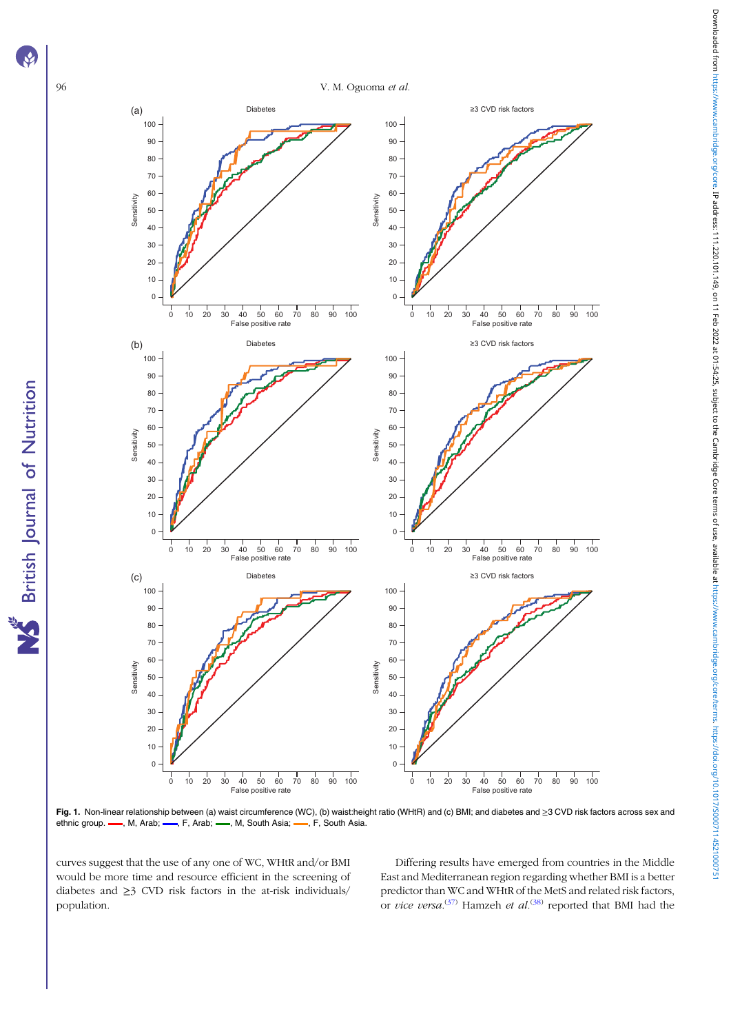<span id="page-5-0"></span>



Fig. 1. Non-linear relationship between (a) waist circumference (WC), (b) waist:height ratio (WHtR) and (c) BMI; and diabetes and ≥3 CVD risk factors across sex and ethnic group. -, M, Arab; -, F, Arab; -, M, South Asia; -, F, South Asia.

curves suggest that the use of any one of WC, WHtR and/or BMI would be more time and resource efficient in the screening of diabetes and ≥3 CVD risk factors in the at-risk individuals/ population.

Differing results have emerged from countries in the Middle East and Mediterranean region regarding whether BMI is a better predictor than WC and WHtR of the MetS and related risk factors, or *vice versa*.<sup>[\(37\)](#page-11-0)</sup> Hamzeh *et al.*<sup>[\(38\)](#page-11-0)</sup> reported that BMI had the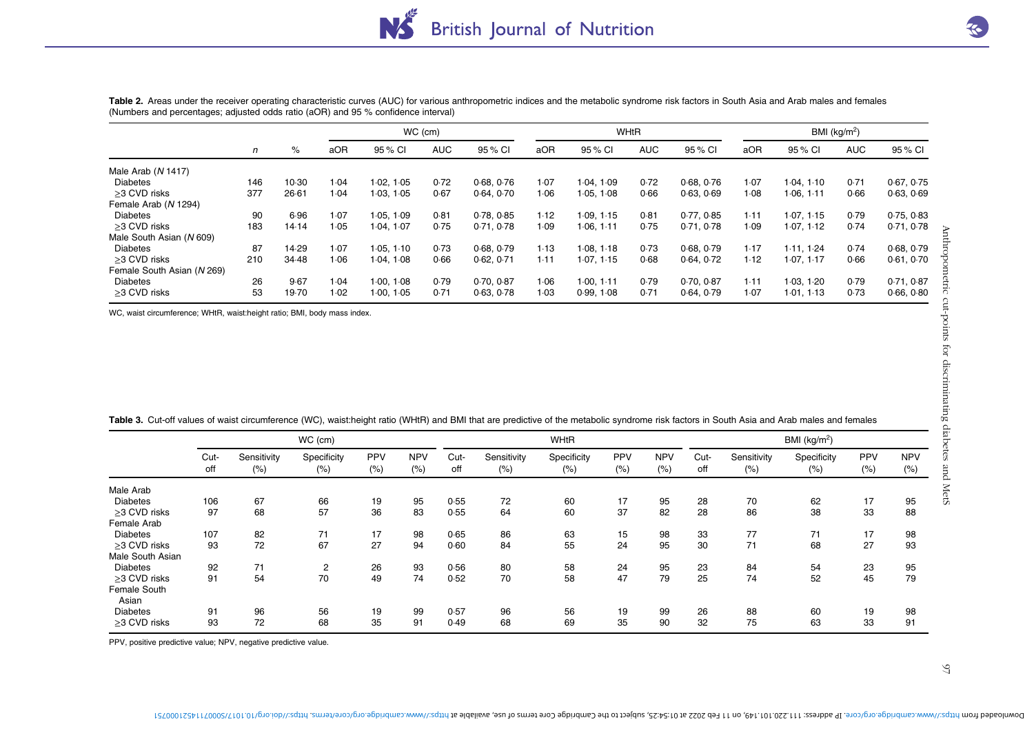|                            |     |       |      |            | $WC$ (cm)  |            |      |            | <b>WHtR</b> |            |      |            | BMI (kg/m <sup>2</sup> ) |            |
|----------------------------|-----|-------|------|------------|------------|------------|------|------------|-------------|------------|------|------------|--------------------------|------------|
|                            | n   | %     | aOR  | 95 % CI    | <b>AUC</b> | 95 % CI    | aOR  | 95 % CI    | <b>AUC</b>  | 95 % CI    | aOR  | 95 % CI    | <b>AUC</b>               | 95 % CI    |
| Male Arab (N 1417)         |     |       |      |            |            |            |      |            |             |            |      |            |                          |            |
| <b>Diabetes</b>            | 146 | 10.30 | 1.04 | 1.02, 1.05 | 0.72       | 0.68, 0.76 | 1.07 | 1.04.1.09  | 0.72        | 0.68, 0.76 | 1.07 | 1.04, 1.10 | 0.71                     | 0.67.0.75  |
| >3 CVD risks               | 377 | 26.61 | 1.04 | 1.03, 1.05 | 0.67       | 0.64, 0.70 | 1.06 | 1.05, 1.08 | 0.66        | 0.63, 0.69 | 1.08 | 1.06, 1.11 | 0.66                     | 0.63, 0.69 |
| Female Arab (N 1294)       |     |       |      |            |            |            |      |            |             |            |      |            |                          |            |
| Diabetes                   | 90  | 6.96  | 1.07 | 1.05.1.09  | 0.81       | 0.78, 0.85 | 1.12 | 1.09.115   | 0.81        | 0.77, 0.85 | 1.11 | 1.07, 1.15 | 0.79                     | 0.75, 0.83 |
| >3 CVD risks               | 183 | 14.14 | 1.05 | 1.04, 1.07 | 0.75       | 0.71, 0.78 | 1.09 | 1.06.1.11  | 0.75        | 0.71, 0.78 | 1.09 | 1.07, 1.12 | 0.74                     | 0.71.0.78  |
| Male South Asian (N 609)   |     |       |      |            |            |            |      |            |             |            |      |            |                          |            |
| <b>Diabetes</b>            | 87  | 14.29 | 1.07 | 1.05, 1.10 | 0.73       | 0.68, 0.79 | 1.13 | 1.08.1.18  | 0.73        | 0.68, 0.79 | 1.17 | 1.11.124   | 0.74                     | 0.68, 0.79 |
| >3 CVD risks               | 210 | 34.48 | 1.06 | 1.04, 1.08 | 0.66       | 0.62.0.71  | 1.11 | 1.07.115   | 0.68        | 0.64, 0.72 | 1.12 | 1.07.117   | 0.66                     | 0.61, 0.70 |
| Female South Asian (N 269) |     |       |      |            |            |            |      |            |             |            |      |            |                          |            |
| <b>Diabetes</b>            | 26  | 9.67  | 1.04 | 1.00.108   | 0.79       | 0.70, 0.87 | 1.06 | 1.00.111   | 0.79        | 0.70.0.87  | 1.11 | 1.03, 1.20 | 0.79                     | 0.71, 0.87 |
| >3 CVD risks               | 53  | 19.70 | 1.02 | 1.00, 1.05 | 0.71       | 0.63, 0.78 | 1.03 | 0.99.108   | 0.71        | 0.64.0.79  | 1.07 | 1.01, 1.13 | 0.73                     | 0.66, 0.80 |

<span id="page-6-0"></span>Table 2. Areas under the receiver operating characteristic curves (AUC) for various anthropometric indices and the metabolic syndrome risk factors in South Asia and Arab males and females (Numbers and percentages; adjusted odds ratio (aOR) and 95 % confidence interval)

|  |  |  |  |  | Table 3. Cut-off values of waist circumference (WC), waist:height ratio (WHtR) and BMI that are predictive of the metabolic syndrome risk factors in South Asia and Arab males and females |
|--|--|--|--|--|--------------------------------------------------------------------------------------------------------------------------------------------------------------------------------------------|
|--|--|--|--|--|--------------------------------------------------------------------------------------------------------------------------------------------------------------------------------------------|

| Male South Asian (N 609)                                                                                                                                                                       |             |                     | 14.14<br>1.05           | 1.04, 1.07 |                    | 0.75<br>0.71, 0.78 |                     | 1.09                | 1.06, 1.11 | 0.75               | 0.71, 0.78  |                     | 1.07, 1.12          | 0.74        |                    |
|------------------------------------------------------------------------------------------------------------------------------------------------------------------------------------------------|-------------|---------------------|-------------------------|------------|--------------------|--------------------|---------------------|---------------------|------------|--------------------|-------------|---------------------|---------------------|-------------|--------------------|
| <b>Diabetes</b>                                                                                                                                                                                |             | 87                  | 14.29<br>1.07           | 1.05, 1.10 |                    | 0.73               | 0.68, 0.79          | 1.13<br>1.08, 1.18  |            | 0.73               | 0.68, 0.79  | 1.17                | 1.11, 1.24          | 0.74        | 0.68, 0.79         |
| >3 CVD risks                                                                                                                                                                                   |             | 210                 | 34.48<br>1.06           | 1.04, 1.08 |                    | 0.66               | 0.62, 0.71          | 1.11<br>1.07, 1.15  |            | 0.68               | 0.64, 0.72  | 1.12                | 1.07, 1.17          | 0.66        | 0.61, 0.70         |
| Female South Asian (N 269)                                                                                                                                                                     |             |                     |                         |            |                    |                    |                     |                     |            |                    |             |                     |                     |             |                    |
| <b>Diabetes</b>                                                                                                                                                                                |             | 26                  | 9.67<br>1.04            | 1.00, 1.08 |                    | 0.79               | 0.70, 0.87          | 1.06<br>1.00, 1.11  |            | 0.79               | 0.70, 0.87  | 1.11                | 1.03, 1.20          | 0.79        | 0.71, 0.87         |
| $\geq$ 3 CVD risks                                                                                                                                                                             |             | 53                  | 19.70<br>1.02           | 1.00, 1.05 |                    | 0.71               | 0.63, 0.78          | 0.99, 1.08<br>1.03  |            | 0.71               | 0.64, 0.79  | 1.07                | 1.01, 1.13          | 0.73        | 0.66, 0.80         |
| WC, waist circumference; WHtR, waist:height ratio; BMI, body mass index.                                                                                                                       |             |                     |                         |            |                    |                    |                     |                     |            |                    |             |                     |                     |             |                    |
|                                                                                                                                                                                                |             |                     |                         |            |                    |                    |                     |                     |            |                    |             |                     |                     |             |                    |
| Table 3. Cut-off values of waist circumference (WC), waist:height ratio (WHtR) and BMI that are predictive of the metabolic syndrome risk factors in South Asia and Arab males and females     |             |                     | WC (cm)                 |            |                    |                    |                     | WHtR                |            |                    |             |                     | BMI ( $kg/m2$ )     |             |                    |
|                                                                                                                                                                                                | Cut-<br>off | Sensitivity<br>(% ) | Specificity<br>(% )     | PPV<br>(%) | <b>NPV</b><br>(% ) | Cut-<br>off        | Sensitivity<br>(% ) | Specificity<br>(% ) | PPV<br>(%) | <b>NPV</b><br>(% ) | Cut-<br>off | Sensitivity<br>(% ) | Specificity<br>(% ) | PPV<br>(% ) | <b>NPV</b><br>(% ) |
|                                                                                                                                                                                                |             |                     |                         |            |                    |                    |                     |                     |            |                    |             |                     |                     |             |                    |
|                                                                                                                                                                                                |             |                     |                         |            |                    |                    |                     |                     |            |                    |             |                     |                     |             |                    |
|                                                                                                                                                                                                | 106         | 67                  | 66                      | 19         | 95                 | 0.55               | 72                  | 60                  | 17         | 95                 | 28          | 70                  | 62                  | 17          | 95                 |
|                                                                                                                                                                                                | 97          | 68                  | 57                      | 36         | 83                 | 0.55               | 64                  | 60                  | 37         | 82                 | 28          | 86                  | 38                  | 33          | 88                 |
|                                                                                                                                                                                                |             |                     |                         |            |                    |                    |                     |                     |            |                    |             |                     |                     |             |                    |
|                                                                                                                                                                                                | 107<br>93   | 82                  | 71                      | 17         | 98                 | 0.65               | 86                  | 63                  | 15<br>24   | 98                 | 33          | 77                  | 71                  | 17          | 98                 |
|                                                                                                                                                                                                |             | 72                  | 67                      | 27         | 94                 | 0.60               | 84                  | 55                  |            | 95                 | 30          | 71                  | 68                  | 27          | 93                 |
|                                                                                                                                                                                                |             |                     |                         |            |                    |                    |                     |                     |            |                    |             |                     |                     |             |                    |
|                                                                                                                                                                                                | 92          | 71                  | $\overline{\mathbf{c}}$ | 26         | 93                 | 0.56               | 80                  | 58                  | 24         | 95                 | 23          | 84                  | 54                  | 23          | 95                 |
| Asian                                                                                                                                                                                          | 91          | 54                  | 70                      | 49         | 74                 | 0.52               | 70                  | 58                  | 47         | 79                 | 25          | 74                  | 52                  | 45          | 79                 |
| Male Arab<br><b>Diabetes</b><br>≥3 CVD risks<br>Female Arab<br><b>Diabetes</b><br>>3 CVD risks<br>Male South Asian<br><b>Diabetes</b><br>$\geq$ 3 CVD risks<br>Female South<br><b>Diabetes</b> | 91          | 96                  | 56                      | 19         | 99                 | 0.57               | 96                  | 56                  | 19         | 99                 | 26          | 88                  | 60                  | 19          | 98                 |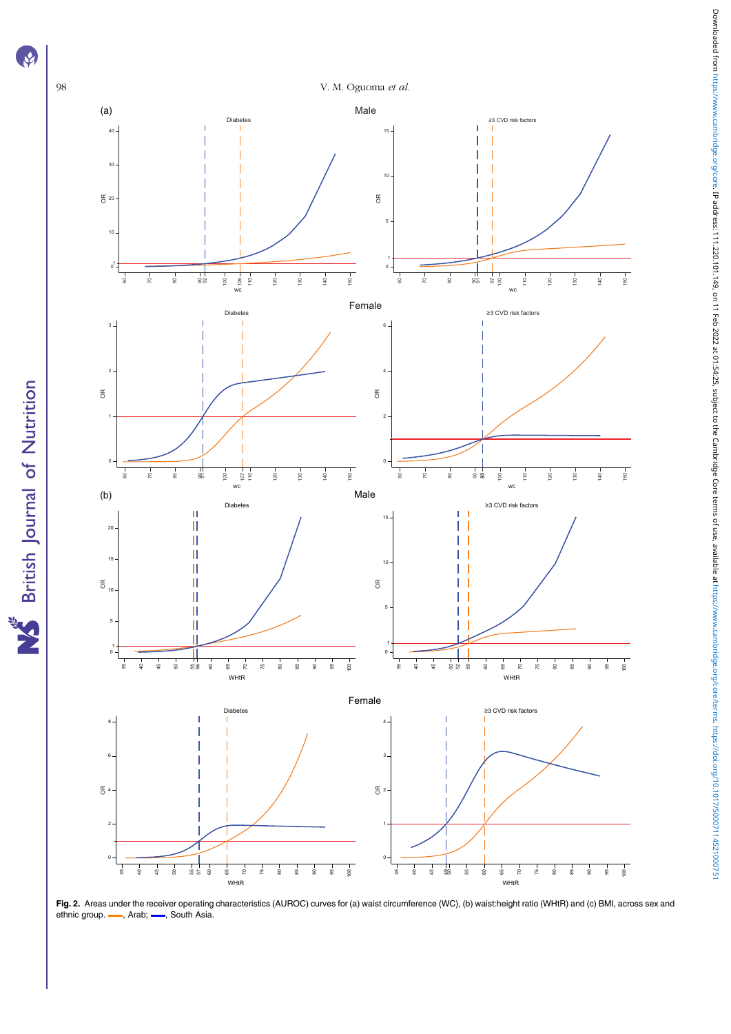

<span id="page-7-0"></span>**R** 

**S** British Journal of Nutrition

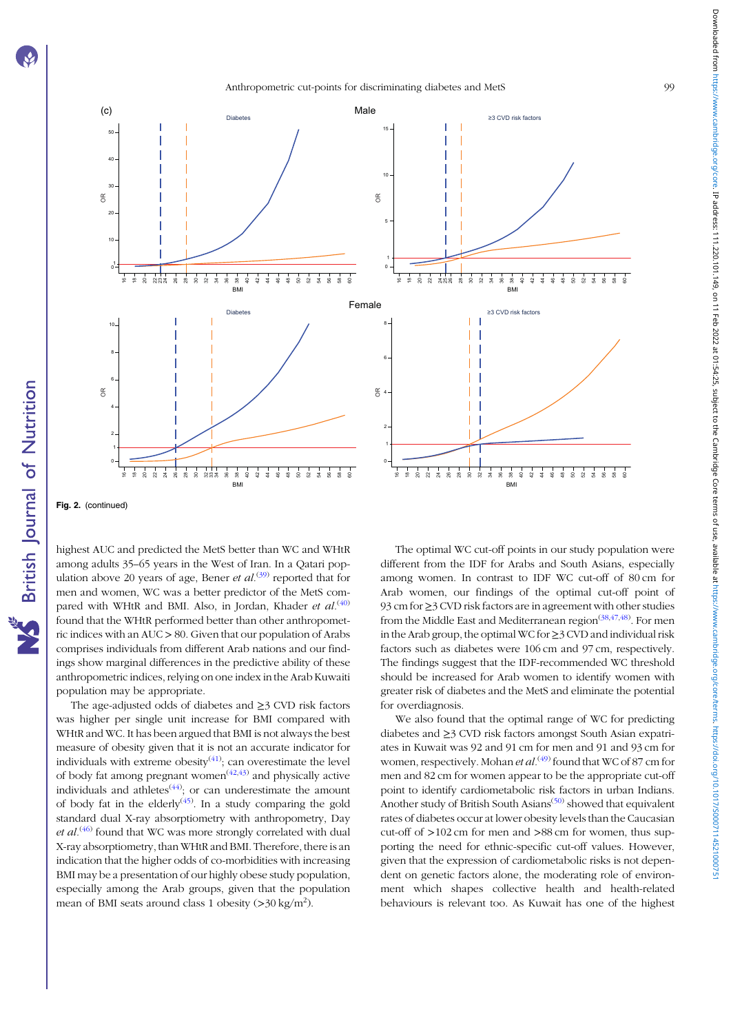



Fig. 2. (continued)

highest AUC and predicted the MetS better than WC and WHtR among adults 35–65 years in the West of Iran. In a Qatari population above 20 years of age, Bener et  $al^{(39)}$  $al^{(39)}$  $al^{(39)}$  reported that for men and women, WC was a better predictor of the MetS compared with WHtR and BMI. Also, in Jordan, Khader et  $al^{(40)}$  $al^{(40)}$  $al^{(40)}$ found that the WHtR performed better than other anthropometric indices with an AUC > 80. Given that our population of Arabs comprises individuals from different Arab nations and our findings show marginal differences in the predictive ability of these anthropometric indices, relying on one index in the Arab Kuwaiti population may be appropriate.

The age-adjusted odds of diabetes and ≥3 CVD risk factors was higher per single unit increase for BMI compared with WHtR and WC. It has been argued that BMI is not always the best measure of obesity given that it is not an accurate indicator for individuals with extreme obesity $(41)$  $(41)$ ; can overestimate the level of body fat among pregnant women<sup> $(42,43)$  $(42,43)$ </sup> and physically active individuals and athletes<sup> $(44)$  $(44)$  $(44)$ </sup>; or can underestimate the amount of body fat in the elderly<sup>[\(45](#page-11-0))</sup>. In a study comparing the gold standard dual X-ray absorptiometry with anthropometry, Day et  $al^{(46)}$  $al^{(46)}$  $al^{(46)}$  found that WC was more strongly correlated with dual X-ray absorptiometry, than WHtR and BMI. Therefore, there is an indication that the higher odds of co-morbidities with increasing BMI may be a presentation of our highly obese study population, especially among the Arab groups, given that the population mean of BMI seats around class 1 obesity (>30 kg/m<sup>2</sup>).

The optimal WC cut-off points in our study population were different from the IDF for Arabs and South Asians, especially among women. In contrast to IDF WC cut-off of 80 cm for Arab women, our findings of the optimal cut-off point of 93 cm for ≥3 CVD risk factors are in agreement with other studies from the Middle East and Mediterranean region<sup>([38,47,48](#page-11-0))</sup>. For men in the Arab group, the optimal WC for ≥3 CVD and individual risk factors such as diabetes were 106 cm and 97 cm, respectively. The findings suggest that the IDF-recommended WC threshold should be increased for Arab women to identify women with greater risk of diabetes and the MetS and eliminate the potential for overdiagnosis.

We also found that the optimal range of WC for predicting diabetes and ≥3 CVD risk factors amongst South Asian expatriates in Kuwait was 92 and 91 cm for men and 91 and 93 cm for women, respectively. Mohan *et al.*<sup>[\(49](#page-11-0))</sup> found that WC of 87 cm for men and 82 cm for women appear to be the appropriate cut-off point to identify cardiometabolic risk factors in urban Indians. Another study of British South Asians<sup> $(50)$ </sup> showed that equivalent rates of diabetes occur at lower obesity levels than the Caucasian cut-off of >102 cm for men and >88 cm for women, thus supporting the need for ethnic-specific cut-off values. However, given that the expression of cardiometabolic risks is not dependent on genetic factors alone, the moderating role of environment which shapes collective health and health-related behaviours is relevant too. As Kuwait has one of the highest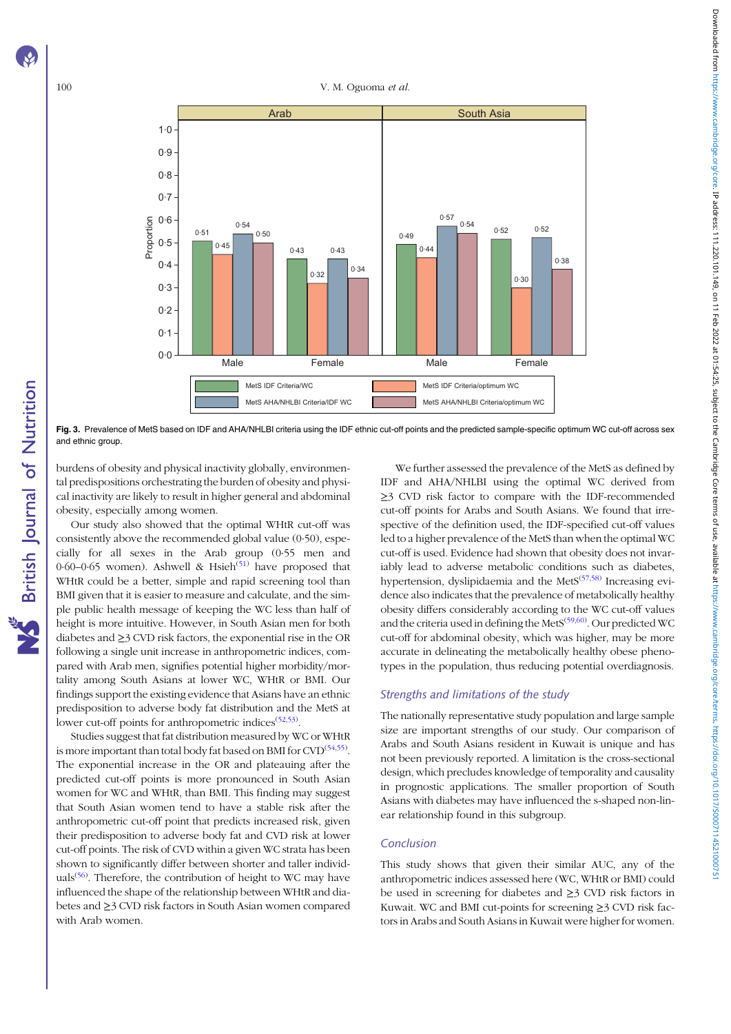<span id="page-9-0"></span>

Fig. 3. Prevalence of MetS based on IDF and AHA/NHLBI criteria using the IDF ethnic cut-off points and the predicted sample-specific optimum WC cut-off across sex and ethnic group.

burdens of obesity and physical inactivity globally, environmental predispositions orchestrating the burden of obesity and physical inactivity are likely to result in higher general and abdominal obesity, especially among women.

Our study also showed that the optimal WHtR cut-off was consistently above the recommended global value (0·50), especially for all sexes in the Arab group (0·55 men and 0.60–0.65 women). Ashwell & Hsieh<sup>([51\)](#page-11-0)</sup> have proposed that WHtR could be a better, simple and rapid screening tool than BMI given that it is easier to measure and calculate, and the simple public health message of keeping the WC less than half of height is more intuitive. However, in South Asian men for both diabetes and ≥3 CVD risk factors, the exponential rise in the OR following a single unit increase in anthropometric indices, compared with Arab men, signifies potential higher morbidity/mortality among South Asians at lower WC, WHtR or BMI. Our findings support the existing evidence that Asians have an ethnic predisposition to adverse body fat distribution and the MetS at lower cut-off points for anthropometric indices<sup>[\(52,53\)](#page-11-0)</sup>.

Studies suggest that fat distribution measured by WC or WHtR is more important than total body fat based on BMI for  $\text{CVD}^{(54,55)}$  $\text{CVD}^{(54,55)}$  $\text{CVD}^{(54,55)}$ . The exponential increase in the OR and plateauing after the predicted cut-off points is more pronounced in South Asian women for WC and WHtR, than BMI. This finding may suggest that South Asian women tend to have a stable risk after the anthropometric cut-off point that predicts increased risk, given their predisposition to adverse body fat and CVD risk at lower cut-off points. The risk of CVD within a given WC strata has been shown to significantly differ between shorter and taller individ- $\text{uals}^{(56)}$  $\text{uals}^{(56)}$  $\text{uals}^{(56)}$ . Therefore, the contribution of height to WC may have influenced the shape of the relationship between WHtR and diabetes and ≥3 CVD risk factors in South Asian women compared with Arab women.

We further assessed the prevalence of the MetS as defined by IDF and AHA/NHLBI using the optimal WC derived from ≥3 CVD risk factor to compare with the IDF-recommended cut-off points for Arabs and South Asians. We found that irrespective of the definition used, the IDF-specified cut-off values led to a higher prevalence of the MetS than when the optimal WC cut-off is used. Evidence had shown that obesity does not invariably lead to adverse metabolic conditions such as diabetes, hypertension, dyslipidaemia and the Met $S^{(57,58)}$  $S^{(57,58)}$  $S^{(57,58)}$  $S^{(57,58)}$  $S^{(57,58)}$  Increasing evidence also indicates that the prevalence of metabolically healthy obesity differs considerably according to the WC cut-off values and the criteria used in defining the MetS<sup>([59](#page-11-0),[60\)](#page-11-0)</sup>. Our predicted WC cut-off for abdominal obesity, which was higher, may be more accurate in delineating the metabolically healthy obese phenotypes in the population, thus reducing potential overdiagnosis.

#### Strengths and limitations of the study

The nationally representative study population and large sample size are important strengths of our study. Our comparison of Arabs and South Asians resident in Kuwait is unique and has not been previously reported. A limitation is the cross-sectional design, which precludes knowledge of temporality and causality in prognostic applications. The smaller proportion of South Asians with diabetes may have influenced the s-shaped non-linear relationship found in this subgroup.

#### Conclusion

This study shows that given their similar AUC, any of the anthropometric indices assessed here (WC, WHtR or BMI) could be used in screening for diabetes and ≥3 CVD risk factors in Kuwait. WC and BMI cut-points for screening ≥3 CVD risk factors in Arabs and South Asians in Kuwait were higher for women.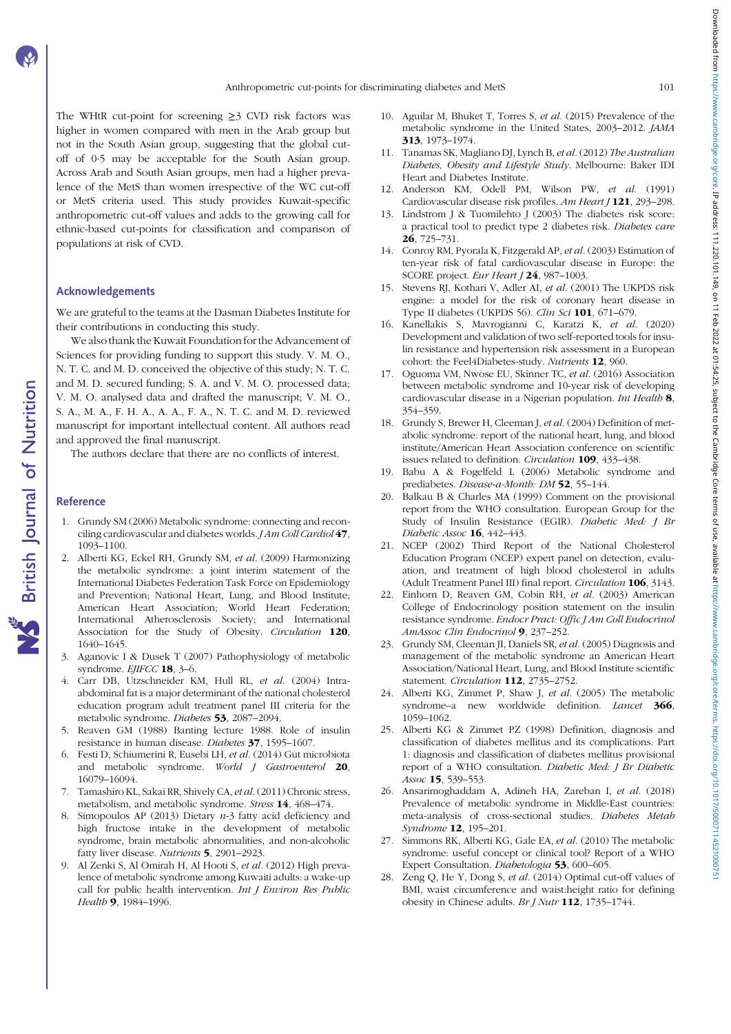<span id="page-10-0"></span>The WHtR cut-point for screening ≥3 CVD risk factors was higher in women compared with men in the Arab group but not in the South Asian group, suggesting that the global cutoff of 0·5 may be acceptable for the South Asian group. Across Arab and South Asian groups, men had a higher prevalence of the MetS than women irrespective of the WC cut-off or MetS criteria used. This study provides Kuwait-specific anthropometric cut-off values and adds to the growing call for ethnic-based cut-points for classification and comparison of populations at risk of CVD.

#### Acknowledgements

We are grateful to the teams at the Dasman Diabetes Institute for their contributions in conducting this study.

We also thank the Kuwait Foundation for the Advancement of Sciences for providing funding to support this study. V. M. O., N. T. C. and M. D. conceived the objective of this study; N. T. C. and M. D. secured funding; S. A. and V. M. O. processed data; V. M. O. analysed data and drafted the manuscript; V. M. O., S. A., M. A., F. H. A., A. A., F. A., N. T. C. and M. D. reviewed manuscript for important intellectual content. All authors read and approved the final manuscript.

The authors declare that there are no conflicts of interest.

#### Reference

- 1. Grundy SM (2006) Metabolic syndrome: connecting and reconciling cardiovascular and diabetes worlds. JAm Coll Cardiol 47, 1093–1100.
- 2. Alberti KG, Eckel RH, Grundy SM, et al. (2009) Harmonizing the metabolic syndrome: a joint interim statement of the International Diabetes Federation Task Force on Epidemiology and Prevention; National Heart, Lung, and Blood Institute; American Heart Association; World Heart Federation; International Atherosclerosis Society; and International Association for the Study of Obesity. Circulation 120, 1640–1645.
- 3. Aganovic I & Dusek T (2007) Pathophysiology of metabolic syndrome. EJIFCC 18, 3-6.
- 4. Carr DB, Utzschneider KM, Hull RL, et al. (2004) Intraabdominal fat is a major determinant of the national cholesterol education program adult treatment panel III criteria for the metabolic syndrome. Diabetes 53, 2087–2094.
- 5. Reaven GM (1988) Banting lecture 1988. Role of insulin resistance in human disease. Diabetes 37, 1595–1607.
- 6. Festi D, Schiumerini R, Eusebi LH, et al. (2014) Gut microbiota and metabolic syndrome. World J Gastroenterol 20, 16079–16094.
- 7. Tamashiro KL, Sakai RR, Shively CA, et al. (2011) Chronic stress, metabolism, and metabolic syndrome. Stress 14, 468–474.
- 8. Simopoulos AP (2013) Dietary  $n-3$  fatty acid deficiency and high fructose intake in the development of metabolic syndrome, brain metabolic abnormalities, and non-alcoholic fatty liver disease. Nutrients 5, 2901–2923.
- 9. Al Zenki S, Al Omirah H, Al Hooti S, et al. (2012) High prevalence of metabolic syndrome among Kuwaiti adults: a wake-up call for public health intervention. Int J Environ Res Public Health 9, 1984-1996.
- 10. Aguilar M, Bhuket T, Torres S, et al. (2015) Prevalence of the metabolic syndrome in the United States, 2003–2012. JAMA 313, 1973–1974.
- 11. Tanamas SK, Magliano DJ, Lynch B, et al.(2012) The Australian Diabetes, Obesity and Lifestyle Study. Melbourne: Baker IDI Heart and Diabetes Institute.
- 12. Anderson KM, Odell PM, Wilson PW, et al. (1991) Cardiovascular disease risk profiles. Am Heart J 121, 293-298.
- 13. Lindstrom J & Tuomilehto J (2003) The diabetes risk score: a practical tool to predict type 2 diabetes risk. Diabetes care 26, 725–731.
- 14. Conroy RM, Pyorala K, Fitzgerald AP, et al. (2003) Estimation of ten-year risk of fatal cardiovascular disease in Europe: the SCORE project. Eur Heart J 24, 987-1003.
- 15. Stevens RJ, Kothari V, Adler AI, et al. (2001) The UKPDS risk engine: a model for the risk of coronary heart disease in Type II diabetes (UKPDS 56). Clin Sci 101, 671–679.
- 16. Kanellakis S, Mavrogianni C, Karatzi K, et al. (2020) Development and validation of two self-reported tools for insulin resistance and hypertension risk assessment in a European cohort: the Feel4Diabetes-study. Nutrients 12, 960.
- 17. Oguoma VM, Nwose EU, Skinner TC, et al. (2016) Association between metabolic syndrome and 10-year risk of developing cardiovascular disease in a Nigerian population. Int Health 8, 354–359.
- 18. Grundy S, Brewer H, Cleeman J, et al. (2004) Definition of metabolic syndrome: report of the national heart, lung, and blood institute/American Heart Association conference on scientific issues related to definition. Circulation 109, 433–438.
- 19. Babu A & Fogelfeld L (2006) Metabolic syndrome and prediabetes. Disease-a-Month: DM 52, 55-144.
- 20. Balkau B & Charles MA (1999) Comment on the provisional report from the WHO consultation. European Group for the Study of Insulin Resistance (EGIR). Diabetic Med: J Br Diabetic Assoc 16, 442–443.
- 21. NCEP (2002) Third Report of the National Cholesterol Education Program (NCEP) expert panel on detection, evaluation, and treatment of high blood cholesterol in adults (Adult Treatment Panel III) final report. Circulation 106, 3143.
- 22. Einhorn D, Reaven GM, Cobin RH, et al. (2003) American College of Endocrinology position statement on the insulin resistance syndrome. Endocr Pract: Offic J Am Coll Endocrinol AmAssoc Clin Endocrinol 9, 237-252.
- 23. Grundy SM, Cleeman JI, Daniels SR, et al. (2005) Diagnosis and management of the metabolic syndrome an American Heart Association/National Heart, Lung, and Blood Institute scientific statement. Circulation 112, 2735-2752.
- 24. Alberti KG, Zimmet P, Shaw J, et al. (2005) The metabolic syndrome-a new worldwide definition. Lancet 366, 1059–1062.
- 25. Alberti KG & Zimmet PZ (1998) Definition, diagnosis and classification of diabetes mellitus and its complications. Part 1: diagnosis and classification of diabetes mellitus provisional report of a WHO consultation. Diabetic Med: J Br Diabetic Assoc 15, 539-553.
- 26. Ansarimoghaddam A, Adineh HA, Zareban I, et al. (2018) Prevalence of metabolic syndrome in Middle-East countries: meta-analysis of cross-sectional studies. Diabetes Metab Syndrome 12, 195–201.
- 27. Simmons RK, Alberti KG, Gale EA, et al. (2010) The metabolic syndrome: useful concept or clinical tool? Report of a WHO Expert Consultation. Diabetologia 53, 600–605.
- 28. Zeng Q, He Y, Dong S, et al. (2014) Optimal cut-off values of BMI, waist circumference and waist:height ratio for defining obesity in Chinese adults. Br J Nutr 112, 1735–1744.

Downloaded from https://www.cambridge.org/core. IP address: 111.220.101.149, on 11 Feb 2022 at 01:54:25, subject to the Cambridge Core terms of use, available at https://www.cambridge.core terms of use, available at https: Downloaded from https://www.cambridge.org.i.Pades: 111.220.101.149, on 11 eb 2022 at 01:34:25, subject of ne cambridge Core terms of use, available at https://www.cambridge.org/core/terms.in/200071145210007511452100075